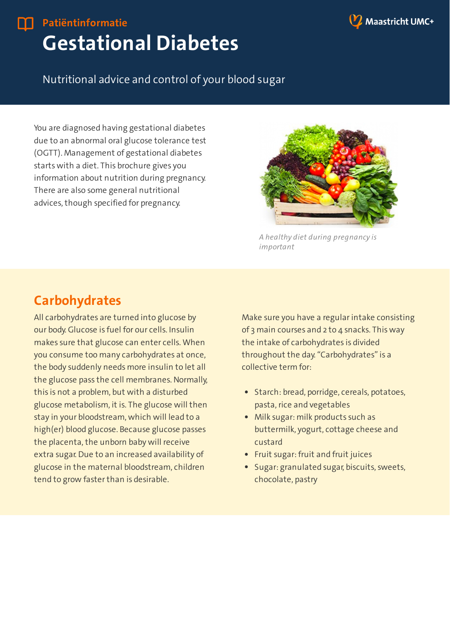

## **Gestational Diabetes Patiëntinformatie**

#### Nutritional advice and control of your blood sugar

You are diagnosed having gestational diabetes due to an abnormal oral glucose tolerance test (OGTT). Management of gestational diabetes starts with a diet. This brochure gives you information about nutrition during pregnancy. There are also some general nutritional advices, though specified for pregnancy.



*A healthy diet during pregnancy is important*

#### **Carbohydrates**

All carbohydrates are turned into glucose by our body. Glucose is fuel for our cells. Insulin makes sure that glucose can enter cells. When you consume too many carbohydrates at once, the body suddenly needs more insulin to let all the glucose pass the cell membranes. Normally, this is not a problem, but with a disturbed glucose metabolism, it is. The glucose will then stay in your bloodstream, which will lead to a high(er) blood glucose. Because glucose passes the placenta, the unborn baby will receive extra sugar. Due to an increased availability of glucose in the maternal bloodstream, children tend to grow faster than is desirable.

Make sure you have a regular intake consisting of 3 main courses and 2 to 4 snacks. This way the intake of carbohydrates is divided throughout the day. "Carbohydrates" is a collective term for:

- Starch: bread, porridge, cereals, potatoes, pasta, rice and vegetables
- Milk sugar: milk products such as buttermilk, yogurt, cottage cheese and custard
- Fruit sugar: fruit and fruit juices
- Sugar: granulated sugar, biscuits, sweets, chocolate, pastry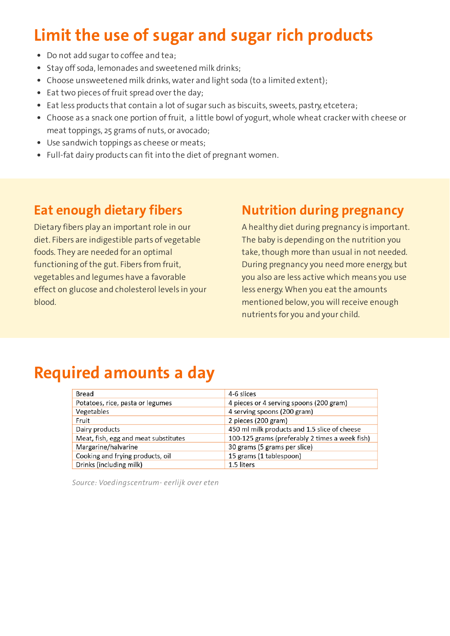# **Limit the use of sugar and sugar rich products**

- Do not add sugarto coffee and tea;
- Stay off soda, lemonades and sweetened milk drinks;
- Choose unsweetened milk drinks, water and light soda (to a limited extent);
- Eat two pieces of fruit spread over the day;
- Eat less products that contain a lot of sugar such as biscuits, sweets, pastry, etcetera;
- Choose as a snack one portion of fruit, a little bowl of yogurt, whole wheat cracker with cheese or meat toppings, 25 grams of nuts, or avocado;
- Use sandwich toppings as cheese or meats;
- Full-fat dairy products can fit into the diet of pregnant women.

#### **Eat enough dietary fibers**

Dietary fibers play an important role in our diet. Fibers are indigestible parts of vegetable foods. They are needed for an optimal functioning of the gut. Fibers from fruit, vegetables and legumes have a favorable effect on glucose and cholesterol levels in your blood.

#### **Nutrition during pregnancy**

A healthy diet during pregnancy is important. The baby is depending on the nutrition you take, though more than usual in not needed. During pregnancy you need more energy, but you also are less active which means you use less energy. When you eat the amounts mentioned below, you will receive enough nutrients for you and your child.

## **Required amounts a day**

| Bread                                | 4-6 slices                                     |
|--------------------------------------|------------------------------------------------|
| Potatoes, rice, pasta or legumes     | 4 pieces or 4 serving spoons (200 gram)        |
| Vegetables                           | 4 serving spoons (200 gram)                    |
| Fruit                                | 2 pieces (200 gram)                            |
| Dairy products                       | 450 ml milk products and 1.5 slice of cheese   |
| Meat, fish, egg and meat substitutes | 100-125 grams (preferably 2 times a week fish) |
| Margarine/halvarine                  | 30 grams (5 grams per slice)                   |
| Cooking and frying products, oil     | 15 grams (1 tablespoon)                        |
| Drinks (including milk)              | 1.5 liters                                     |

*Source: Voedingscentrum- eerlijk over eten*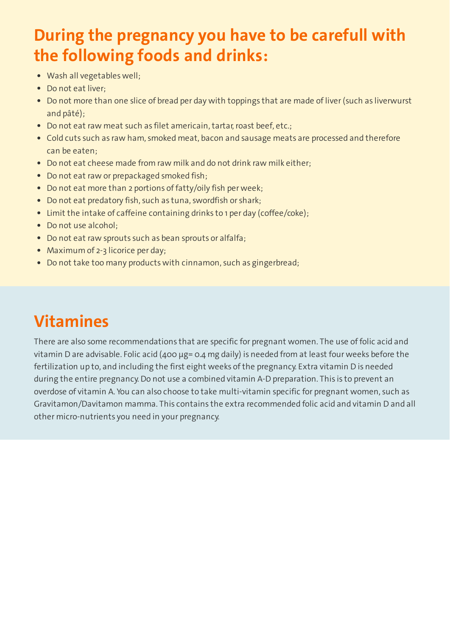## **During the pregnancy you have to be carefull with the following foods and drinks:**

- Wash all vegetables well;
- Do not eat liver:
- Do not more than one slice of bread per day with toppings that are made of liver (such as liverwurst and pâté);
- Do not eat raw meat such as filet americain, tartar, roast beef, etc.;
- Cold cuts such as raw ham, smoked meat, bacon and sausage meats are processed and therefore can be eaten;
- Do not eat cheese made from raw milk and do not drink raw milk either;
- Do not eat raw or prepackaged smoked fish;
- Do not eat more than 2 portions of fatty/oily fish per week;
- Do not eat predatory fish, such as tuna, swordfish or shark;
- Limit the intake of caffeine containing drinks to 1 per day (coffee/coke);
- Do not use alcohol:
- Do not eat raw sprouts such as bean sprouts or alfalfa;
- Maximum of 2-3 licorice per day;
- Do not take too many products with cinnamon, such as gingerbread;

# **Vitamines**

There are also some recommendations that are specific for pregnant women. The use of folic acid and vitamin D are advisable. Folic acid (400 µg= 0.4 mg daily) is needed from at least four weeks before the fertilization up to, and including the first eight weeks of the pregnancy. Extra vitamin D is needed during the entire pregnancy. Do not use a combined vitamin A-D preparation. This is to prevent an overdose of vitamin A. You can also choose to take multi-vitamin specific for pregnant women, such as Gravitamon/Davitamon mamma. This contains the extra recommended folic acid and vitamin D and all other micro-nutrients you need in your pregnancy.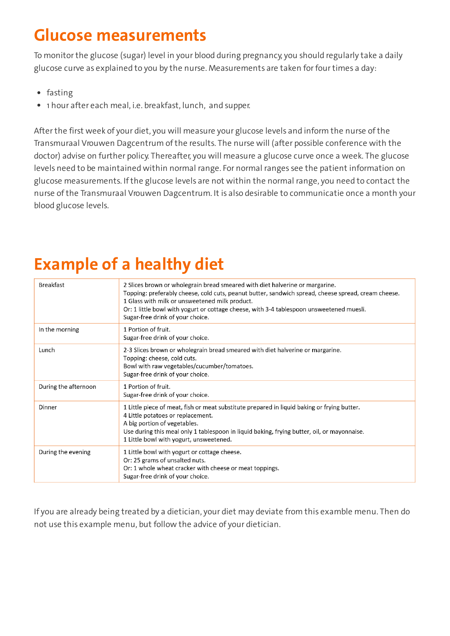## **Glucose measurements**

To monitorthe glucose (sugar) level in your blood during pregnancy, you should regularly take a daily glucose curve as explained to you by the nurse. Measurements are taken for fourtimes a day:

- fasting
- 1 hour after each meal, i.e. breakfast, lunch, and supper.

Afterthe first week of your diet, you will measure your glucose levels and inform the nurse of the Transmuraal Vrouwen Dagcentrum of the results. The nurse will (after possible conference with the doctor) advise on further policy. Thereafter, you will measure a glucose curve once a week. The glucose levels need to be maintained within normal range. For normal ranges see the patient information on glucose measurements. If the glucose levels are not within the normal range, you need to contact the nurse of the Transmuraal Vrouwen Dagcentrum. It is also desirable to communicatie once a month your blood glucose levels.

# **Example of a healthy diet**

| <b>Breakfast</b>     | 2 Slices brown or wholegrain bread smeared with diet halverine or margarine.<br>Topping: preferably cheese, cold cuts, peanut butter, sandwich spread, cheese spread, cream cheese.<br>1 Glass with milk or unsweetened milk product.<br>Or: 1 little bowl with yogurt or cottage cheese, with 3-4 tablespoon unsweetened muesli.<br>Sugar-free drink of your choice. |
|----------------------|-----------------------------------------------------------------------------------------------------------------------------------------------------------------------------------------------------------------------------------------------------------------------------------------------------------------------------------------------------------------------|
| In the morning       | 1 Portion of fruit.<br>Sugar-free drink of your choice.                                                                                                                                                                                                                                                                                                               |
| Lunch                | 2-3 Slices brown or wholegrain bread smeared with diet halverine or margarine.<br>Topping: cheese, cold cuts.<br>Bowl with raw vegetables/cucumber/tomatoes.<br>Sugar-free drink of your choice.                                                                                                                                                                      |
| During the afternoon | 1 Portion of fruit.<br>Sugar-free drink of your choice.                                                                                                                                                                                                                                                                                                               |
| Dinner               | 1 Little piece of meat, fish or meat substitute prepared in liquid baking or frying butter.<br>4 Little potatoes or replacement.<br>A big portion of vegetables.<br>Use during this meal only 1 tablespoon in liquid baking, frying butter, oil, or mayonnaise.<br>1 Little bowl with yogurt, unsweetened.                                                            |
| During the evening   | 1 Little bowl with yogurt or cottage cheese.<br>Or: 25 grams of unsalted nuts.<br>Or: 1 whole wheat cracker with cheese or meat toppings.<br>Sugar-free drink of your choice.                                                                                                                                                                                         |

If you are already being treated by a dietician, your diet may deviate from this examble menu. Then do not use this example menu, but follow the advice of your dietician.